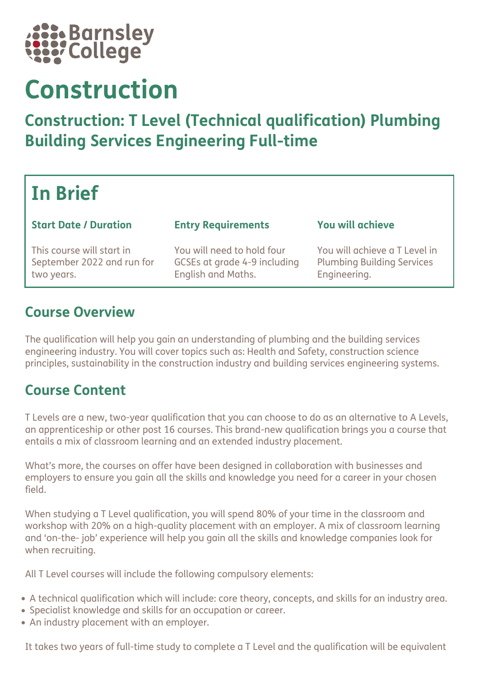

# Construction

Construction: T Level (Technical qualification) Plumbing Building Services Engineering Full-time

# In Brief

Start Date / Duration Entry Requirements You will achieve

This course will start in September 2022 and run for two years.

You will need to hold four GCSEs at grade 4-9 including English and Maths.

You will achieve a T Level in Plumbing Building Services Engineering.

## Course Overview

The qualification will help you gain an understanding of plumbing and the building services engineering industry. You will cover topics such as: Health and Safety, construction science principles, sustainability in the construction industry and building services engineering systems.

# Course Content

T Levels are a new, two-year qualification that you can choose to do as an alternative to A Levels, an apprenticeship or other post 16 courses. This brand-new qualification brings you a course that entails a mix of classroom learning and an extended industry placement.

What's more, the courses on offer have been designed in collaboration with businesses and employers to ensure you gain all the skills and knowledge you need for a career in your chosen field.

When studying a T Level qualification, you will spend 80% of your time in the classroom and workshop with 20% on a high-quality placement with an employer. A mix of classroom learning and 'on-the- job' experience will help you gain all the skills and knowledge companies look for when recruiting.

All T Level courses will include the following compulsory elements:

- A technical qualification which will include: core theory, concepts, and skills for an industry area.
- Specialist knowledge and skills for an occupation or career.
- An industry placement with an employer.

It takes two years of full-time study to complete a T Level and the qualification will be equivalent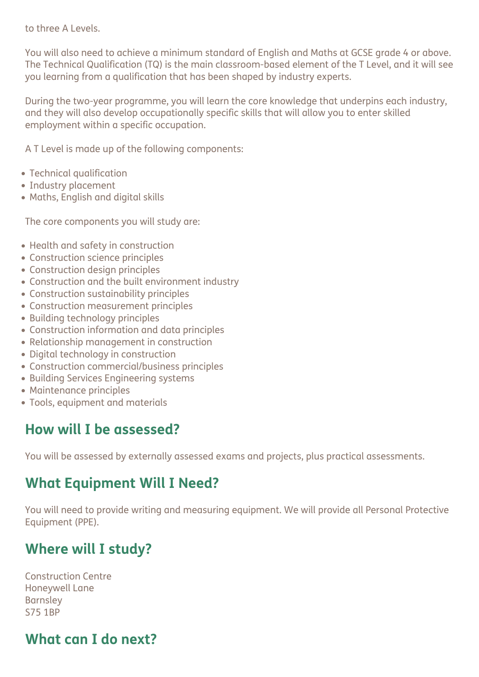to three A Levels.

You will also need to achieve a minimum standard of English and Maths at GCSE grade 4 or above. The Technical Qualification (TQ) is the main classroom-based element of the T Level, and it will see you learning from a qualification that has been shaped by industry experts.

During the two-year programme, you will learn the core knowledge that underpins each industry, and they will also develop occupationally specific skills that will allow you to enter skilled employment within a specific occupation.

A T Level is made up of the following components:

- Technical qualification
- Industry placement
- Maths, English and digital skills

The core components you will study are:

- Health and safety in construction
- Construction science principles
- Construction design principles
- Construction and the built environment industry
- Construction sustainability principles
- Construction measurement principles
- Building technology principles
- Construction information and data principles
- Relationship management in construction
- Digital technology in construction
- Construction commercial/business principles
- Building Services Engineering systems
- Maintenance principles
- Tools, equipment and materials

#### How will I be assessed?

You will be assessed by externally assessed exams and projects, plus practical assessments.

#### What Equipment Will I Need?

You will need to provide writing and measuring equipment. We will provide all Personal Protective Equipment (PPE).

# Where will I study?

Construction Centre Honeywell Lane Barnsley S75 1BP

# What can I do next?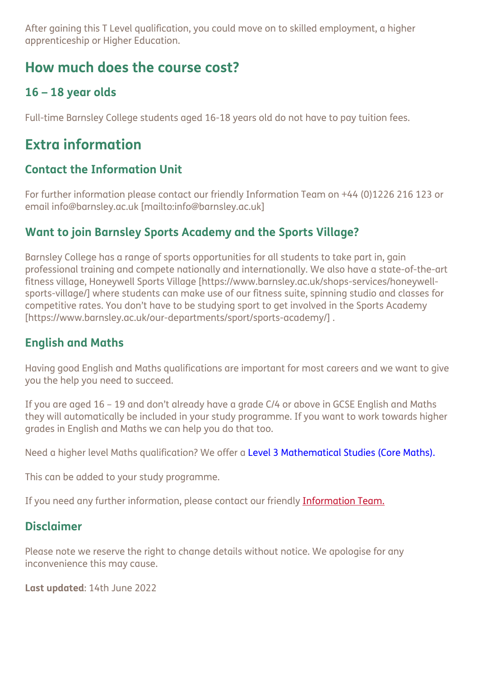After gaining this T Level qualification, you could move on to skilled employment, a higher apprenticeship or Higher Education.

#### How much does the course cost?

#### 16 – 18 year olds

Full-time Barnsley College students aged 16-18 years old do not have to pay tuition fees.

## Extra information

#### Contact the Information Unit

For further information please contact our friendly Information Team on +44 (0)1226 216 123 or email info@barnsley.ac.uk [mailto:info@barnsley.ac.uk]

#### Want to join Barnsley Sports Academy and the Sports Village?

Barnsley College has a range of sports opportunities for all students to take part in, gain professional training and compete nationally and internationally. We also have a state-of-the-art fitness village, Honeywell Sports Village [https://www.barnsley.ac.uk/shops-services/honeywellsports-village/] where students can make use of our fitness suite, spinning studio and classes for competitive rates. You don't have to be studying sport to get involved in the Sports Academy [https://www.barnsley.ac.uk/our-departments/sport/sports-academy/] .

#### English and Maths

Having good English and Maths qualifications are important for most careers and we want to give you the help you need to succeed.

If you are aged 16 – 19 and don't already have a grade C/4 or above in GCSE English and Maths they will automatically be included in your study programme. If you want to work towards higher grades in English and Maths we can help you do that too.

Need a higher level Maths qualification? We offer a Level 3 Mathematical Studies (Core Maths).

This can be added to your study programme.

If you need any further information, please contact our friendly **Information Team.** 

#### **Disclaimer**

Please note we reserve the right to change details without notice. We apologise for any inconvenience this may cause.

Last updated: 14th June 2022